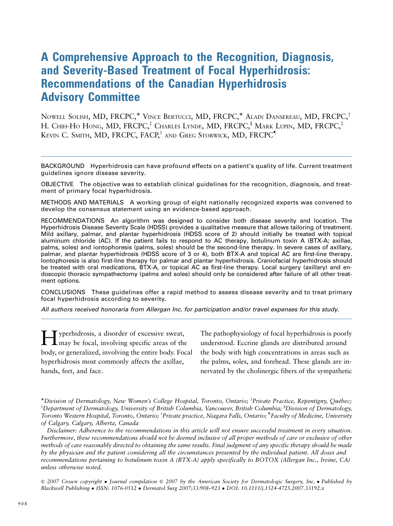# A Comprehensive Approach to the Recognition, Diagnosis, and Severity-Based Treatment of Focal Hyperhidrosis: Recommendations of the Canadian Hyperhidrosis Advisory Committee

NOWELL SOLISH, MD, FRCPC,\* VINCE BERTUCCI, MD, FRCPC,\* ALAIN DANSEREAU, MD, FRCPC,<sup>†</sup> H. CHIH-HO HONG, MD, FRCPC,<sup> $\ddagger$ </sup> Charles Lynde, MD, FRCPC, $\rm^{\$}$  Mark Lupin, MD, FRCPC, $\rm^{\ddagger}$ KEVIN C. SMITH, MD, FRCPC, FACP,<sup>II</sup> AND GREG STORWICK, MD, FRCPC<sup>II</sup>

BACKGROUND Hyperhidrosis can have profound effects on a patient's quality of life. Current treatment guidelines ignore disease severity.

OBJECTIVE The objective was to establish clinical guidelines for the recognition, diagnosis, and treatment of primary focal hyperhidrosis.

METHODS AND MATERIALS A working group of eight nationally recognized experts was convened to develop the consensus statement using an evidence-based approach.

RECOMMENDATIONS An algorithm was designed to consider both disease severity and location. The Hyperhidrosis Disease Severity Scale (HDSS) provides a qualitative measure that allows tailoring of treatment. Mild axillary, palmar, and plantar hyperhidrosis (HDSS score of 2) should initially be treated with topical aluminum chloride (AC). If the patient fails to respond to AC therapy, botulinum toxin A (BTX-A; axillae, palms, soles) and iontophoresis (palms, soles) should be the second-line therapy. In severe cases of axillary, palmar, and plantar hyperhidrosis (HDSS score of 3 or 4), both BTX-A and topical AC are first-line therapy. Iontophoresis is also first-line therapy for palmar and plantar hyperhidrosis. Craniofacial hyperhidrosis should be treated with oral medications, BTX-A, or topical AC as first-line therapy. Local surgery (axillary) and endoscopic thoracic sympathectomy (palms and soles) should only be considered after failure of all other treatment options.

CONCLUSIONS These guidelines offer a rapid method to assess disease severity and to treat primary focal hyperhidrosis according to severity.

*All authors received honoraria from Allergan Inc. for participation and/or travel expenses for this study.*

Hyperhidrosis, a disorder of excessive sweat, may be focal, involving specific areas of the body, or generalized, involving the entire body. Focal hyperhidrosis most commonly affects the axillae, hands, feet, and face.

The pathophysiology of focal hyperhidrosis is poorly understood. Eccrine glands are distributed around the body with high concentrations in areas such as the palms, soles, and forehead. These glands are innervated by the cholinergic fibers of the sympathetic

\*Division of Dermatology, New Women's College Hospital, Toronto, Ontario; <sup>†</sup>Private Practice, Repentigny, Québec; ‡Department of Dermatology, University of British Columbia, Vancouver, British Columbia; <sup>§</sup>Division of Dermatology, Toronto Western Hospital, Toronto, Ontario; "Private practice, Niagara Falls, Ontario; "Faculty of Medicine, University of Calgary, Calgary, Alberta, Canada

Disclaimer: Adherence to the recommendations in this article will not ensure successful treatment in every situation. Furthermore, these recommendations should not be deemed inclusive of all proper methods of care or exclusive of other methods of care reasonably directed to obtaining the same results. Final judgment of any specific therapy should be made by the physician and the patient considering all the circumstances presented by the individual patient. All doses and recommendations pertaining to botulinum toxin A (BTX-A) apply specifically to BOTOX (Allergan Inc., Irvine, CA) unless otherwise noted.

 $\odot$  2007 Crown copyright • Journal compilation  $\odot$  2007 by the American Society for Dermatologic Surgery, Inc. • Published by Blackwell Publishing • ISSN: 1076-0512 • Dermatol Surg 2007;33:908-923 • DOI: 10.1111/j.1524-4725.2007.33192.x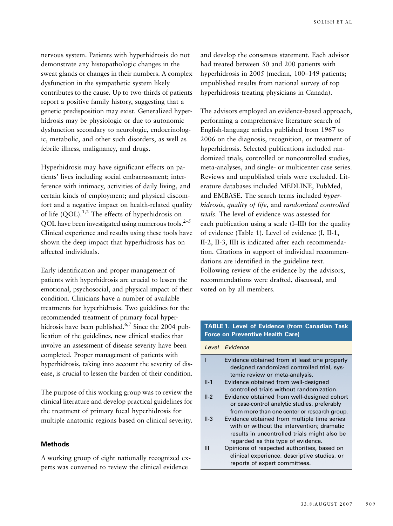nervous system. Patients with hyperhidrosis do not demonstrate any histopathologic changes in the sweat glands or changes in their numbers. A complex dysfunction in the sympathetic system likely contributes to the cause. Up to two-thirds of patients report a positive family history, suggesting that a genetic predisposition may exist. Generalized hyperhidrosis may be physiologic or due to autonomic dysfunction secondary to neurologic, endocrinologic, metabolic, and other such disorders, as well as febrile illness, malignancy, and drugs.

Hyperhidrosis may have significant effects on patients' lives including social embarrassment; interference with intimacy, activities of daily living, and certain kinds of employment; and physical discomfort and a negative impact on health-related quality of life  $(QOL)$ .<sup>1,2</sup> The effects of hyperhidrosis on QOL have been investigated using numerous tools. $2-5$ Clinical experience and results using these tools have shown the deep impact that hyperhidrosis has on affected individuals.

Early identification and proper management of patients with hyperhidrosis are crucial to lessen the emotional, psychosocial, and physical impact of their condition. Clinicians have a number of available treatments for hyperhidrosis. Two guidelines for the recommended treatment of primary focal hyperhidrosis have been published.<sup>6,7</sup> Since the 2004 publication of the guidelines, new clinical studies that involve an assessment of disease severity have been completed. Proper management of patients with hyperhidrosis, taking into account the severity of disease, is crucial to lessen the burden of their condition.

The purpose of this working group was to review the clinical literature and develop practical guidelines for the treatment of primary focal hyperhidrosis for multiple anatomic regions based on clinical severity.

#### **Methods**

A working group of eight nationally recognized experts was convened to review the clinical evidence

and develop the consensus statement. Each advisor had treated between 50 and 200 patients with hyperhidrosis in 2005 (median, 100–149 patients; unpublished results from national survey of top hyperhidrosis-treating physicians in Canada).

The advisors employed an evidence-based approach, performing a comprehensive literature search of English-language articles published from 1967 to 2006 on the diagnosis, recognition, or treatment of hyperhidrosis. Selected publications included randomized trials, controlled or noncontrolled studies, meta-analyses, and single- or multicenter case series. Reviews and unpublished trials were excluded. Literature databases included MEDLINE, PubMed, and EMBASE. The search terms included hyperhidrosis, quality of life, and randomized controlled trials. The level of evidence was assessed for each publication using a scale (I–III) for the quality of evidence (Table 1). Level of evidence (I, II-1, II-2, II-3, III) is indicated after each recommendation. Citations in support of individual recommendations are identified in the guideline text. Following review of the evidence by the advisors, recommendations were drafted, discussed, and voted on by all members.

#### **TABLE 1. Level of Evidence (from Canadian Task Force on Preventive Health Care)**

|        | Level Evidence                                                                                                                                                                  |
|--------|---------------------------------------------------------------------------------------------------------------------------------------------------------------------------------|
|        | Evidence obtained from at least one properly<br>designed randomized controlled trial, sys-<br>temic review or meta-analysis.                                                    |
| $II-1$ | Evidence obtained from well-designed<br>controlled trials without randomization.                                                                                                |
| $II-2$ | Evidence obtained from well-designed cohort<br>or case-control analytic studies, preferably<br>from more than one center or research group.                                     |
| $II-3$ | Evidence obtained from multiple time series<br>with or without the intervention: dramatic<br>results in uncontrolled trials might also be<br>regarded as this type of evidence. |
| Ш      | Opinions of respected authorities, based on<br>clinical experience, descriptive studies, or<br>reports of expert committees.                                                    |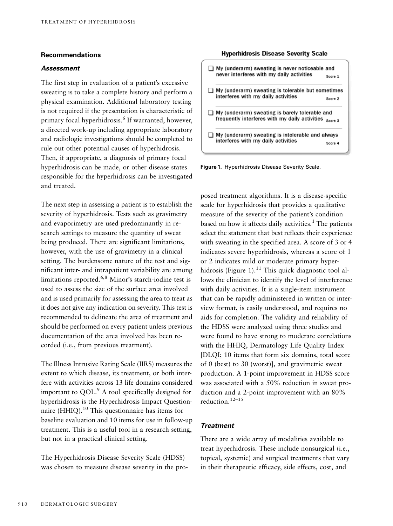## **Recommendations**

#### **Assessment**

The first step in evaluation of a patient's excessive sweating is to take a complete history and perform a physical examination. Additional laboratory testing is not required if the presentation is characteristic of primary focal hyperhidrosis.<sup>6</sup> If warranted, however, a directed work-up including appropriate laboratory and radiologic investigations should be completed to rule out other potential causes of hyperhidrosis. Then, if appropriate, a diagnosis of primary focal hyperhidrosis can be made, or other disease states responsible for the hyperhidrosis can be investigated and treated.

The next step in assessing a patient is to establish the severity of hyperhidrosis. Tests such as gravimetry and evaporimetry are used predominantly in research settings to measure the quantity of sweat being produced. There are significant limitations, however, with the use of gravimetry in a clinical setting. The burdensome nature of the test and significant inter- and intrapatient variability are among limitations reported.<sup>6,8</sup> Minor's starch-iodine test is used to assess the size of the surface area involved and is used primarily for assessing the area to treat as it does not give any indication on severity. This test is recommended to delineate the area of treatment and should be performed on every patient unless previous documentation of the area involved has been recorded (i.e., from previous treatment).

The Illness Intrusive Rating Scale (IIRS) measures the extent to which disease, its treatment, or both interfere with activities across 13 life domains considered important to QOL.<sup>9</sup> A tool specifically designed for hyperhidrosis is the Hyperhidrosis Impact Questionnaire (HHIQ).10 This questionnaire has items for baseline evaluation and 10 items for use in follow-up treatment. This is a useful tool in a research setting, but not in a practical clinical setting.

The Hyperhidrosis Disease Severity Scale (HDSS) was chosen to measure disease severity in the pro-

#### **Hyperhidrosis Disease Severity Scale**



**Figure 1.** Hyperhidrosis Disease Severity Scale.

posed treatment algorithms. It is a disease-specific scale for hyperhidrosis that provides a qualitative measure of the severity of the patient's condition based on how it affects daily activities.<sup>1</sup> The patients select the statement that best reflects their experience with sweating in the specified area. A score of 3 or 4 indicates severe hyperhidrosis, whereas a score of 1 or 2 indicates mild or moderate primary hyperhidrosis (Figure 1).<sup>11</sup> This quick diagnostic tool allows the clinician to identify the level of interference with daily activities. It is a single-item instrument that can be rapidly administered in written or interview format, is easily understood, and requires no aids for completion. The validity and reliability of the HDSS were analyzed using three studies and were found to have strong to moderate correlations with the HHIQ, Dermatology Life Quality Index [DLQI; 10 items that form six domains, total score of 0 (best) to 30 (worst)], and gravimetric sweat production. A 1-point improvement in HDSS score was associated with a 50% reduction in sweat production and a 2-point improvement with an 80% reduction.12–15

#### **Treatment**

There are a wide array of modalities available to treat hyperhidrosis. These include nonsurgical (i.e., topical, systemic) and surgical treatments that vary in their therapeutic efficacy, side effects, cost, and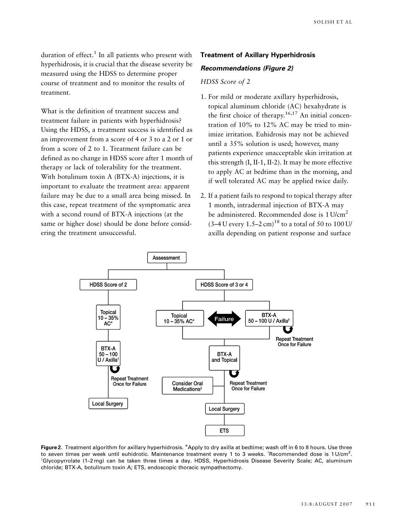duration of effect.<sup>1</sup> In all patients who present with hyperhidrosis, it is crucial that the disease severity be measured using the HDSS to determine proper course of treatment and to monitor the results of treatment.

What is the definition of treatment success and treatment failure in patients with hyperhidrosis? Using the HDSS, a treatment success is identified as an improvement from a score of 4 or 3 to a 2 or 1 or from a score of 2 to 1. Treatment failure can be defined as no change in HDSS score after 1 month of therapy or lack of tolerability for the treatment. With botulinum toxin A (BTX-A) injections, it is important to evaluate the treatment area: apparent failure may be due to a small area being missed. In this case, repeat treatment of the symptomatic area with a second round of BTX-A injections (at the same or higher dose) should be done before considering the treatment unsuccessful.

## **Treatment of Axillary Hyperhidrosis**

## **Recommendations (Figure 2)**

- 1. For mild or moderate axillary hyperhidrosis, topical aluminum chloride (AC) hexahydrate is the first choice of therapy.<sup>16,17</sup> An initial concentration of 10% to 12% AC may be tried to minimize irritation. Euhidrosis may not be achieved until a 35% solution is used; however, many patients experience unacceptable skin irritation at this strength (I, II-1, II-2). It may be more effective to apply AC at bedtime than in the morning, and if well tolerated AC may be applied twice daily.
- 2. If a patient fails to respond to topical therapy after 1 month, intradermal injection of BTX-A may be administered. Recommended dose is  $1$  U/cm<sup>2</sup>  $(3-4 \text{ U every } 1.5-2 \text{ cm})^{18}$  to a total of 50 to 100 U/ axilla depending on patient response and surface



**Figure 2.** Treatment algorithm for axillary hyperhidrosis. \*Apply to dry axilla at bedtime; wash off in 6 to 8 hours. Use three to seven times per week until euhidrotic. Maintenance treatment every 1 to 3 weeks. <sup>†</sup>Recommended dose is 1U/cm<sup>2</sup>. z Glycopyrrolate (1–2 mg) can be taken three times a day. HDSS, Hyperhidrosis Disease Severity Scale; AC, aluminum chloride; BTX-A, botulinum toxin A; ETS, endoscopic thoracic sympathectomy.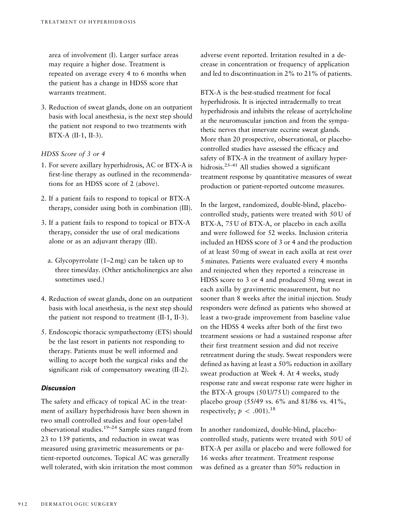area of involvement (I). Larger surface areas may require a higher dose. Treatment is repeated on average every 4 to 6 months when the patient has a change in HDSS score that warrants treatment.

3. Reduction of sweat glands, done on an outpatient basis with local anesthesia, is the next step should the patient not respond to two treatments with BTX-A (II-1, II-3).

#### HDSS Score of 3 or 4

- 1. For severe axillary hyperhidrosis, AC or BTX-A is first-line therapy as outlined in the recommendations for an HDSS score of 2 (above).
- 2. If a patient fails to respond to topical or BTX-A therapy, consider using both in combination (III).
- 3. If a patient fails to respond to topical or BTX-A therapy, consider the use of oral medications alone or as an adjuvant therapy (III).
	- a. Glycopyrrolate (1–2 mg) can be taken up to three times/day. (Other anticholinergics are also sometimes used.)
- 4. Reduction of sweat glands, done on an outpatient basis with local anesthesia, is the next step should the patient not respond to treatment (II-1, II-3).
- 5. Endoscopic thoracic sympathectomy (ETS) should be the last resort in patients not responding to therapy. Patients must be well informed and willing to accept both the surgical risks and the significant risk of compensatory sweating (II-2).

#### **Discussion**

The safety and efficacy of topical AC in the treatment of axillary hyperhidrosis have been shown in two small controlled studies and four open-label observational studies.19–24 Sample sizes ranged from 23 to 139 patients, and reduction in sweat was measured using gravimetric measurements or patient-reported outcomes. Topical AC was generally well tolerated, with skin irritation the most common

adverse event reported. Irritation resulted in a decrease in concentration or frequency of application and led to discontinuation in 2% to 21% of patients.

BTX-A is the best-studied treatment for focal hyperhidrosis. It is injected intradermally to treat hyperhidrosis and inhibits the release of acetylcholine at the neuromuscular junction and from the sympathetic nerves that innervate eccrine sweat glands. More than 20 prospective, observational, or placebocontrolled studies have assessed the efficacy and safety of BTX-A in the treatment of axillary hyperhidrosis. $25-41$  All studies showed a significant treatment response by quantitative measures of sweat production or patient-reported outcome measures.

In the largest, randomized, double-blind, placebocontrolled study, patients were treated with 50 U of BTX-A, 75 U of BTX-A, or placebo in each axilla and were followed for 52 weeks. Inclusion criteria included an HDSS score of 3 or 4 and the production of at least 50 mg of sweat in each axilla at rest over 5 minutes. Patients were evaluated every 4 months and reinjected when they reported a reincrease in HDSS score to 3 or 4 and produced 50 mg sweat in each axilla by gravimetric measurement, but no sooner than 8 weeks after the initial injection. Study responders were defined as patients who showed at least a two-grade improvement from baseline value on the HDSS 4 weeks after both of the first two treatment sessions or had a sustained response after their first treatment session and did not receive retreatment during the study. Sweat responders were defined as having at least a 50% reduction in axillary sweat production at Week 4. At 4 weeks, study response rate and sweat response rate were higher in the BTX-A groups (50 U/75 U) compared to the placebo group (55/49 vs. 6% and 81/86 vs. 41%, respectively;  $p < .001$ ).<sup>18</sup>

In another randomized, double-blind, placebocontrolled study, patients were treated with 50 U of BTX-A per axilla or placebo and were followed for 16 weeks after treatment. Treatment response was defined as a greater than 50% reduction in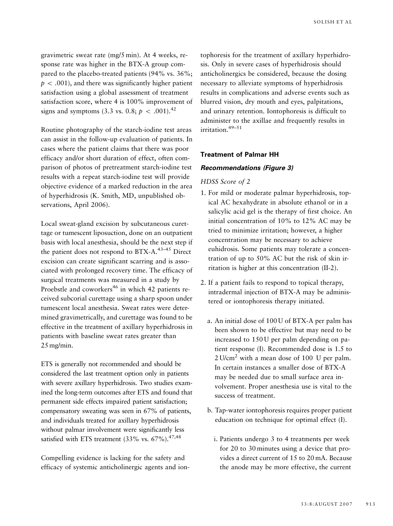gravimetric sweat rate (mg/5 min). At 4 weeks, response rate was higher in the BTX-A group compared to the placebo-treated patients (94% vs. 36%;  $p < .001$ ), and there was significantly higher patient satisfaction using a global assessment of treatment satisfaction score, where 4 is 100% improvement of signs and symptoms (3.3 vs. 0.8;  $p < .001$ ).<sup>42</sup>

Routine photography of the starch-iodine test areas can assist in the follow-up evaluation of patients. In cases where the patient claims that there was poor efficacy and/or short duration of effect, often comparison of photos of pretreatment starch-iodine test results with a repeat starch-iodine test will provide objective evidence of a marked reduction in the area of hyperhidrosis (K. Smith, MD, unpublished observations, April 2006).

Local sweat-gland excision by subcutaneous curettage or tumescent liposuction, done on an outpatient basis with local anesthesia, should be the next step if the patient does not respond to BTX-A.<sup>43-45</sup> Direct excision can create significant scarring and is associated with prolonged recovery time. The efficacy of surgical treatments was measured in a study by Proebstle and coworkers<sup>46</sup> in which 42 patients received subcorial curettage using a sharp spoon under tumescent local anesthesia. Sweat rates were determined gravimetrically, and curettage was found to be effective in the treatment of axillary hyperhidrosis in patients with baseline sweat rates greater than 25 mg/min.

ETS is generally not recommended and should be considered the last treatment option only in patients with severe axillary hyperhidrosis. Two studies examined the long-term outcomes after ETS and found that permanent side effects impaired patient satisfaction; compensatory sweating was seen in 67% of patients, and individuals treated for axillary hyperhidrosis without palmar involvement were significantly less satisfied with ETS treatment  $(33\% \text{ vs. } 67\%).^{47,48}$ 

Compelling evidence is lacking for the safety and efficacy of systemic anticholinergic agents and iontophoresis for the treatment of axillary hyperhidrosis. Only in severe cases of hyperhidrosis should anticholinergics be considered, because the dosing necessary to alleviate symptoms of hyperhidrosis results in complications and adverse events such as blurred vision, dry mouth and eyes, palpitations, and urinary retention. Iontophoresis is difficult to administer to the axillae and frequently results in irritation.49–51

#### **Treatment of Palmar HH**

## **Recommendations (Figure 3)**

- 1. For mild or moderate palmar hyperhidrosis, topical AC hexahydrate in absolute ethanol or in a salicylic acid gel is the therapy of first choice. An initial concentration of 10% to 12% AC may be tried to minimize irritation; however, a higher concentration may be necessary to achieve euhidrosis. Some patients may tolerate a concentration of up to 50% AC but the risk of skin irritation is higher at this concentration (II-2).
- 2. If a patient fails to respond to topical therapy, intradermal injection of BTX-A may be administered or iontophoresis therapy initiated.
	- a. An initial dose of 100 U of BTX-A per palm has been shown to be effective but may need to be increased to 150 U per palm depending on patient response (I). Recommended dose is 1.5 to  $2$  U/cm<sup>2</sup> with a mean dose of 100 U per palm. In certain instances a smaller dose of BTX-A may be needed due to small surface area involvement. Proper anesthesia use is vital to the success of treatment.
	- b. Tap-water iontophoresis requires proper patient education on technique for optimal effect (I).
		- i. Patients undergo 3 to 4 treatments per week for 20 to 30 minutes using a device that provides a direct current of 15 to 20 mA. Because the anode may be more effective, the current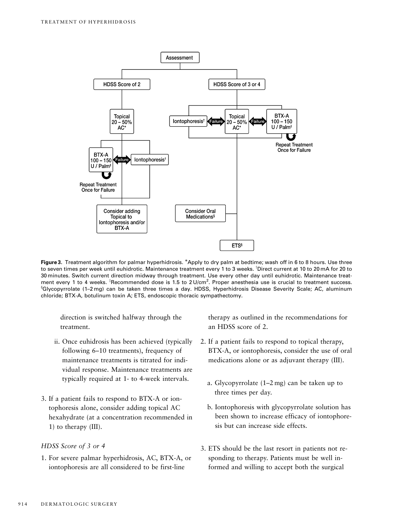

Figure 3. Treatment algorithm for palmar hyperhidrosis. \*Apply to dry palm at bedtime; wash off in 6 to 8 hours. Use three to seven times per week until euhidrotic. Maintenance treatment every 1 to 3 weeks. <sup>†</sup>Direct current at 10 to 20 mA for 20 to 30 minutes. Switch current direction midway through treatment. Use every other day until euhidrotic. Maintenance treatment every 1 to 4 weeks. <sup>‡</sup>Recommended dose is 1.5 to 2 U/cm<sup>2</sup>. Proper anesthesia use is crucial to treatment success. <sup>s</sup>Glycopyrrolate (1–2 mg) can be taken three times a day. HDSS, Hyperhidrosis Disease Severity Scale; AC, aluminum chloride; BTX-A, botulinum toxin A; ETS, endoscopic thoracic sympathectomy.

direction is switched halfway through the treatment.

- ii. Once euhidrosis has been achieved (typically following 6–10 treatments), frequency of maintenance treatments is titrated for individual response. Maintenance treatments are typically required at 1- to 4-week intervals.
- 3. If a patient fails to respond to BTX-A or iontophoresis alone, consider adding topical AC hexahydrate (at a concentration recommended in 1) to therapy (III).

## HDSS Score of 3 or 4

1. For severe palmar hyperhidrosis, AC, BTX-A, or iontophoresis are all considered to be first-line

therapy as outlined in the recommendations for an HDSS score of 2.

- 2. If a patient fails to respond to topical therapy, BTX-A, or iontophoresis, consider the use of oral medications alone or as adjuvant therapy (III).
	- a. Glycopyrrolate (1–2 mg) can be taken up to three times per day.
	- b. Iontophoresis with glycopyrrolate solution has been shown to increase efficacy of iontophoresis but can increase side effects.
- 3. ETS should be the last resort in patients not responding to therapy. Patients must be well informed and willing to accept both the surgical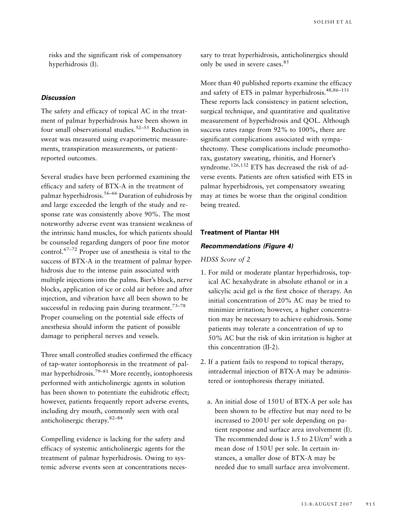risks and the significant risk of compensatory hyperhidrosis (I).

## **Discussion**

The safety and efficacy of topical AC in the treatment of palmar hyperhidrosis have been shown in four small observational studies.<sup> $52-55$ </sup> Reduction in sweat was measured using evaporimetric measurements, transpiration measurements, or patientreported outcomes.

Several studies have been performed examining the efficacy and safety of BTX-A in the treatment of palmar hyperhidrosis.<sup>56–66</sup> Duration of euhidrosis by and large exceeded the length of the study and response rate was consistently above 90%. The most noteworthy adverse event was transient weakness of the intrinsic hand muscles, for which patients should be counseled regarding dangers of poor fine motor control.<sup>67–72</sup> Proper use of anesthesia is vital to the success of BTX-A in the treatment of palmar hyperhidrosis due to the intense pain associated with multiple injections into the palms. Bier's block, nerve blocks, application of ice or cold air before and after injection, and vibration have all been shown to be successful in reducing pain during treatment. $73-78$ Proper counseling on the potential side effects of anesthesia should inform the patient of possible damage to peripheral nerves and vessels.

Three small controlled studies confirmed the efficacy of tap-water iontophoresis in the treatment of palmar hyperhidrosis.<sup>79–81</sup> More recently, iontophoresis performed with anticholinergic agents in solution has been shown to potentiate the euhidrotic effect; however, patients frequently report adverse events, including dry mouth, commonly seen with oral anticholinergic therapy.82–84

Compelling evidence is lacking for the safety and efficacy of systemic anticholinergic agents for the treatment of palmar hyperhidrosis. Owing to systemic adverse events seen at concentrations necessary to treat hyperhidrosis, anticholinergics should only be used in severe cases.<sup>85</sup>

More than 40 published reports examine the efficacy and safety of ETS in palmar hyperhidrosis. $48,86-131$ These reports lack consistency in patient selection, surgical technique, and quantitative and qualitative measurement of hyperhidrosis and QOL. Although success rates range from 92% to 100%, there are significant complications associated with sympathectomy. These complications include pneumothorax, gustatory sweating, rhinitis, and Horner's syndrome.<sup>126,132</sup> ETS has decreased the risk of adverse events. Patients are often satisfied with ETS in palmar hyperhidrosis, yet compensatory sweating may at times be worse than the original condition being treated.

## **Treatment of Plantar HH**

## **Recommendations (Figure 4)**

- 1. For mild or moderate plantar hyperhidrosis, topical AC hexahydrate in absolute ethanol or in a salicylic acid gel is the first choice of therapy. An initial concentration of 20% AC may be tried to minimize irritation; however, a higher concentration may be necessary to achieve euhidrosis. Some patients may tolerate a concentration of up to 50% AC but the risk of skin irritation is higher at this concentration (II-2).
- 2. If a patient fails to respond to topical therapy, intradermal injection of BTX-A may be administered or iontophoresis therapy initiated.
	- a. An initial dose of 150 U of BTX-A per sole has been shown to be effective but may need to be increased to 200 U per sole depending on patient response and surface area involvement (I). The recommended dose is 1.5 to  $2$  U/cm<sup>2</sup> with a mean dose of 150 U per sole. In certain instances, a smaller dose of BTX-A may be needed due to small surface area involvement.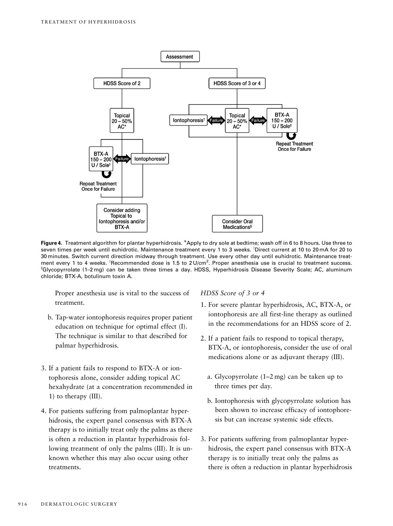

Figure 4. Treatment algorithm for plantar hyperhidrosis. \*Apply to dry sole at bedtime; wash off in 6 to 8 hours. Use three to seven times per week until euhidrotic. Maintenance treatment every 1 to 3 weeks. <sup>†</sup>Direct current at 10 to 20 mA for 20 to 30 minutes. Switch current direction midway through treatment. Use every other day until euhidrotic. Maintenance treatment every 1 to 4 weeks. <sup>‡</sup>Recommended dose is 1.5 to 2 U/cm<sup>2</sup>. Proper anesthesia use is crucial to treatment success. <sup>s</sup>Glycopyrrolate (1–2 mg) can be taken three times a day. HDSS, Hyperhidrosis Disease Severity Scale; AC, aluminum chloride; BTX-A, botulinum toxin A.

Proper anesthesia use is vital to the success of treatment.

- b. Tap-water iontophoresis requires proper patient education on technique for optimal effect (I). The technique is similar to that described for palmar hyperhidrosis.
- 3. If a patient fails to respond to BTX-A or iontophoresis alone, consider adding topical AC hexahydrate (at a concentration recommended in 1) to therapy (III).
- 4. For patients suffering from palmoplantar hyperhidrosis, the expert panel consensus with BTX-A therapy is to initially treat only the palms as there is often a reduction in plantar hyperhidrosis following treatment of only the palms (III). It is unknown whether this may also occur using other treatments.

#### HDSS Score of 3 or 4

- 1. For severe plantar hyperhidrosis, AC, BTX-A, or iontophoresis are all first-line therapy as outlined in the recommendations for an HDSS score of 2.
- 2. If a patient fails to respond to topical therapy, BTX-A, or iontophoresis, consider the use of oral medications alone or as adjuvant therapy (III).
	- a. Glycopyrrolate (1–2 mg) can be taken up to three times per day.
	- b. Iontophoresis with glycopyrrolate solution has been shown to increase efficacy of iontophoresis but can increase systemic side effects.
- 3. For patients suffering from palmoplantar hyperhidrosis, the expert panel consensus with BTX-A therapy is to initially treat only the palms as there is often a reduction in plantar hyperhidrosis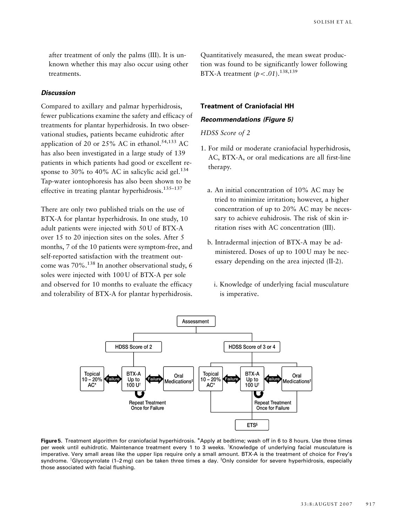after treatment of only the palms (III). It is unknown whether this may also occur using other treatments.

#### **Discussion**

Compared to axillary and palmar hyperhidrosis, fewer publications examine the safety and efficacy of treatments for plantar hyperhidrosis. In two observational studies, patients became euhidrotic after application of 20 or 25% AC in ethanol.<sup>54,133</sup> AC has also been investigated in a large study of 139 patients in which patients had good or excellent response to 30% to 40% AC in salicylic acid gel.<sup>134</sup> Tap-water iontophoresis has also been shown to be effective in treating plantar hyperhidrosis.<sup>135-137</sup>

There are only two published trials on the use of BTX-A for plantar hyperhidrosis. In one study, 10 adult patients were injected with 50 U of BTX-A over 15 to 20 injection sites on the soles. After 5 months, 7 of the 10 patients were symptom-free, and self-reported satisfaction with the treatment outcome was 70%.138 In another observational study, 6 soles were injected with 100 U of BTX-A per sole and observed for 10 months to evaluate the efficacy and tolerability of BTX-A for plantar hyperhidrosis.

Quantitatively measured, the mean sweat production was found to be significantly lower following BTX-A treatment  $(p < .01).$ <sup>138,139</sup>

#### **Treatment of Craniofacial HH**

## **Recommendations (Figure 5)**

- 1. For mild or moderate craniofacial hyperhidrosis, AC, BTX-A, or oral medications are all first-line therapy.
	- a. An initial concentration of 10% AC may be tried to minimize irritation; however, a higher concentration of up to 20% AC may be necessary to achieve euhidrosis. The risk of skin irritation rises with AC concentration (III).
	- b. Intradermal injection of BTX-A may be administered. Doses of up to 100 U may be necessary depending on the area injected (II-2).
		- i. Knowledge of underlying facial musculature is imperative.



Figure 5. Treatment algorithm for craniofacial hyperhidrosis. \*Apply at bedtime; wash off in 6 to 8 hours. Use three times per week until euhidrotic. Maintenance treatment every 1 to 3 weeks. <sup>†</sup>Knowledge of underlying facial musculature is imperative. Very small areas like the upper lips require only a small amount. BTX-A is the treatment of choice for Frey's syndrome. <sup>‡</sup>Glycopyrrolate (1–2 mg) can be taken three times a day. <sup>§</sup>Only consider for severe hyperhidrosis, especially those associated with facial flushing.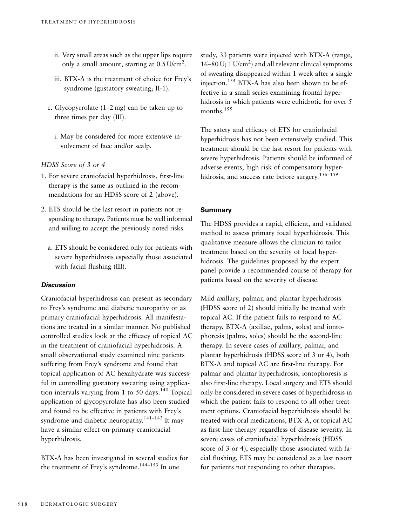- ii. Very small areas such as the upper lips require only a small amount, starting at  $0.5$  U/cm<sup>2</sup>.
- iii. BTX-A is the treatment of choice for Frey's syndrome (gustatory sweating; II-1).
- c. Glycopyrrolate (1–2 mg) can be taken up to three times per day (III).
	- i. May be considered for more extensive involvement of face and/or scalp.

#### HDSS Score of 3 or 4

- 1. For severe craniofacial hyperhidrosis, first-line therapy is the same as outlined in the recommendations for an HDSS score of 2 (above).
- 2. ETS should be the last resort in patients not responding to therapy. Patients must be well informed and willing to accept the previously noted risks.
	- a. ETS should be considered only for patients with severe hyperhidrosis especially those associated with facial flushing (III).

## **Discussion**

Craniofacial hyperhidrosis can present as secondary to Frey's syndrome and diabetic neuropathy or as primary craniofacial hyperhidrosis. All manifestations are treated in a similar manner. No published controlled studies look at the efficacy of topical AC in the treatment of craniofacial hyperhidrosis. A small observational study examined nine patients suffering from Frey's syndrome and found that topical application of AC hexahydrate was successful in controlling gustatory sweating using application intervals varying from 1 to 50 days.<sup>140</sup> Topical application of glycopyrrolate has also been studied and found to be effective in patients with Frey's syndrome and diabetic neuropathy.<sup>141–143</sup> It may have a similar effect on primary craniofacial hyperhidrosis.

BTX-A has been investigated in several studies for the treatment of Frey's syndrome.<sup>144–153</sup> In one

study, 33 patients were injected with BTX-A (range, 16-80 U; 1 U/cm<sup>2</sup>) and all relevant clinical symptoms of sweating disappeared within 1 week after a single injection.<sup>154</sup> BTX-A has also been shown to be effective in a small series examining frontal hyperhidrosis in which patients were euhidrotic for over 5 months.<sup>155</sup>

The safety and efficacy of ETS for craniofacial hyperhidrosis has not been extensively studied. This treatment should be the last resort for patients with severe hyperhidrosis. Patients should be informed of adverse events, high risk of compensatory hyperhidrosis, and success rate before surgery.<sup>156-159</sup>

#### **Summary**

The HDSS provides a rapid, efficient, and validated method to assess primary focal hyperhidrosis. This qualitative measure allows the clinician to tailor treatment based on the severity of focal hyperhidrosis. The guidelines proposed by the expert panel provide a recommended course of therapy for patients based on the severity of disease.

Mild axillary, palmar, and plantar hyperhidrosis (HDSS score of 2) should initially be treated with topical AC. If the patient fails to respond to AC therapy, BTX-A (axillae, palms, soles) and iontophoresis (palms, soles) should be the second-line therapy. In severe cases of axillary, palmar, and plantar hyperhidrosis (HDSS score of 3 or 4), both BTX-A and topical AC are first-line therapy. For palmar and plantar hyperhidrosis, iontophoresis is also first-line therapy. Local surgery and ETS should only be considered in severe cases of hyperhidrosis in which the patient fails to respond to all other treatment options. Craniofacial hyperhidrosis should be treated with oral medications, BTX-A, or topical AC as first-line therapy regardless of disease severity. In severe cases of craniofacial hyperhidrosis (HDSS score of 3 or 4), especially those associated with facial flushing, ETS may be considered as a last resort for patients not responding to other therapies.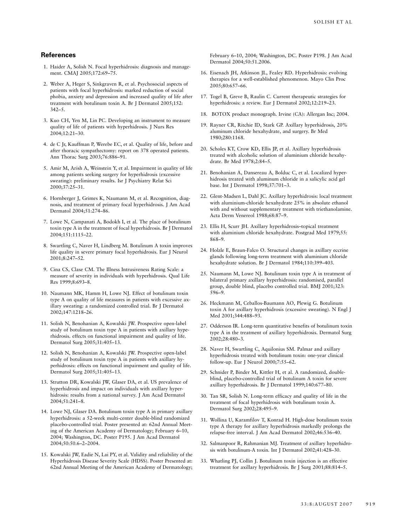#### **References**

- 1. Haider A, Solish N. Focal hyperhidrosis: diagnosis and management. CMAJ 2005;172:69–75.
- 2. Weber A, Heger S, Sinkgraven R, et al. Psychosocial aspects of patients with focal hyperhidrosis: marked reduction of social phobia, anxiety and depression and increased quality of life after treatment with botulinum toxin A. Br J Dermatol 2005;152:  $342 - 5$ .
- 3. Kuo CH, Yen M, Lin PC. Developing an instrument to measure quality of life of patients with hyperhidrosis. J Nurs Res  $2004:12:21-30.$
- 4. de C Jr, Kauffman P, Werebe EC, et al. Quality of life, before and after thoracic sympathectomy: report on 378 operated patients. Ann Thorac Surg 2003;76:886–91.
- 5. Amir M, Arish A, Weinstein Y, et al. Impairment in quality of life among patients seeking surgery for hyperhidrosis (excessive sweating): preliminary results. Isr J Psychiatry Relat Sci 2000;37:25–31.
- 6. Hornberger J, Grimes K, Naumann M, et al. Recognition, diagnosis, and treatment of primary focal hyperhidrosis. J Am Acad Dermatol 2004;51:274–86.
- 7. Lowe N, Campanati A, Bodokh I, et al. The place of botulinum toxin type A in the treatment of focal hyperhidrosis. Br J Dermatol 2004;151:1115–22.
- 8. Swartling C, Naver H, Lindberg M. Botulinum A toxin improves life quality in severe primary focal hyperhidrosis. Eur J Neurol  $2001 \cdot 8 \cdot 247 - 52$
- 9. Cina CS, Clase CM. The Illness Intrusiveness Rating Scale: a measure of severity in individuals with hyperhidrosis. Qual Life Res 1999;8:693–8.
- 10. Naumann MK, Hamm H, Lowe NJ. Effect of botulinum toxin type A on quality of life measures in patients with excessive axillary sweating: a randomized controlled trial. Br J Dermatol 2002;147:1218–26.
- 11. Solish N, Benohanian A, Kowalski JW. Prospective open-label study of botulinum toxin type A in patients with axillary hyperhidrosis. effects on functional impairment and quality of life. Dermatol Surg 2005;31:405–13.
- 12. Solish N, Benohanian A, Kowalski JW. Prospective open-label study of botulinum toxin type A in patients with axillary hyperhidrosis: effects on functional impairment and quality of life. Dermatol Surg 2005;31:405–13.
- 13. Strutton DR, Kowalski JW, Glaser DA, et al. US prevalence of hyperhidrosis and impact on individuals with axillary hyperhidrosis: results from a national survey. J Am Acad Dermatol 2004;51:241–8.
- 14. Lowe NJ, Glaser DA. Botulinum toxin type A in primary axillary hyperhidrosis: a 52-week multi-center double-blind randomized placebo-controlled trial. Poster presented at: 62nd Annual Meeting of the American Academy of Dermatology; February 6–10, 2004; Washington, DC. Poster P195. J Am Acad Dermatol 2004;50:50.6–2–2004.
- 15. Kowalski JW, Eadie N, Lai PY, et al. Validity and reliability of the Hyperhidrosis Disease Severity Scale (HDSS). Poster Presented at: 62nd Annual Meeting of the American Academy of Dermatology;

February 6–10, 2004; Washington, DC. Poster P198. J Am Acad Dermatol 2004;50:51.2006.

- 16. Eisenach JH, Atkinson JL, Fealey RD. Hyperhidrosis: evolving therapies for a well-established phenomenon. Mayo Clin Proc 2005;80:657–66.
- 17. Togel B, Greve B, Raulin C. Current therapeutic strategies for hyperhidrosis: a review. Eur J Dermatol 2002;12:219–23.
- 18. BOTOX product monograph. Irvine (CA): Allergan Inc; 2004.
- 19. Rayner CR, Ritchie ID, Stark GP. Axillary hyperhidrosis, 20% aluminum chloride hexahydrate, and surgery. Br Med 1980;280:1168.
- 20. Scholes KT, Crow KD, Ellis JP, et al. Axillary hyperhidrosis treated with alcoholic solution of aluminium chloride hexahydrate. Br Med 1978;2:84–5.
- 21. Benohanian A, Dansereau A, Bolduc C, et al. Localized hyperhidrosis treated with aluminum chloride in a salicylic acid gel base. Int J Dermatol 1998;37:701–3.
- 22. Glent-Madsen L, Dahl JC. Axillary hyperhidrosis: local treatment with aluminium-chloride hexahydrate 25% in absolute ethanol with and without supplementary treatment with triethanolamine. Acta Derm Venereol 1988;68:87–9.
- 23. Ellis H, Scurr JH. Axillary hyperhidrosis–topical treatment with aluminium chloride hexahydrate. Postgrad Med 1979;55: 868–9.
- 24. Holzle E, Braun-Falco O. Structural changes in axillary eccrine glands following long-term treatment with aluminium chloride hexahydrate solution. Br J Dermatol 1984;110:399–403.
- 25. Naumann M, Lowe NJ. Botulinum toxin type A in treatment of bilateral primary axillary hyperhidrosis: randomised, parallel group, double blind, placebo controlled trial. BMJ 2001;323: 596–9.
- 26. Heckmann M, Ceballos-Baumann AO, Plewig G. Botulinum toxin A for axillary hyperhidrosis (excessive sweating). N Engl J Med 2001;344:488–93.
- 27. Odderson IR. Long-term quantitative benefits of botulinum toxin type A in the treatment of axillary hyperhidrosis. Dermatol Surg 2002;28:480–3.
- 28. Naver H, Swartling C, Aquilonius SM. Palmar and axillary hyperhidrosis treated with botulinum toxin: one-year clinical follow-up. Eur J Neurol 2000;7:55–62.
- 29. Schnider P, Binder M, Kittler H, et al. A randomized, doubleblind, placebo-controlled trial of botulinum A toxin for severe axillary hyperhidrosis. Br J Dermatol 1999;140:677–80.
- 30. Tan SR, Solish N. Long-term efficacy and quality of life in the treatment of focal hyperhidrosis with botulinum toxin A. Dermatol Surg 2002;28:495–9.
- 31. Wollina U, Karamfilov T, Konrad H. High-dose botulinum toxin type A therapy for axillary hyperhidrosis markedly prolongs the relapse-free interval. J Am Acad Dermatol 2002;46:536–40.
- 32. Salmanpoor R, Rahmanian MJ. Treatment of axillary hyperhidrosis with botulinum-A toxin. Int J Dermatol 2002;41:428–30.
- 33. Whatling PJ, Collin J. Botulinum toxin injection is an effective treatment for axillary hyperhidrosis. Br J Surg 2001;88:814–5.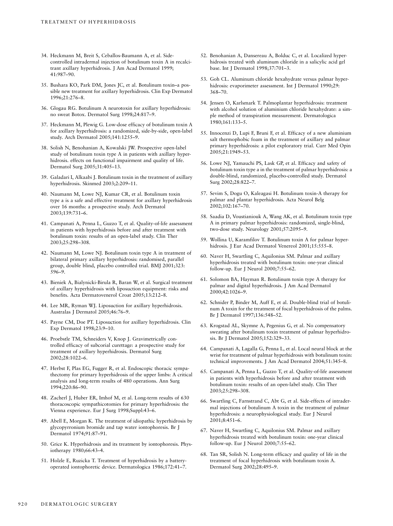- 34. Heckmann M, Breit S, Ceballos-Baumann A, et al. Sidecontrolled intradermal injection of botulinum toxin A in recalcitrant axillary hyperhidrosis. J Am Acad Dermatol 1999; 41:987–90.
- 35. Bushara KO, Park DM, Jones JC, et al. Botulinum toxin–a possible new treatment for axillary hyperhidrosis. Clin Exp Dermatol 1996;21:276–8.
- 36. Glogau RG. Botulinum A neurotoxin for axillary hyperhidrosis: no sweat Botox. Dermatol Surg 1998;24:817–9.
- 37. Heckmann M, Plewig G. Low-dose efficacy of botulinum toxin A for axillary hyperhidrosis: a randomized, side-by-side, open-label study. Arch Dermatol 2005;141:1255–9.
- 38. Solish N, Benohanian A, Kowalski JW. Prospective open-label study of botulinum toxin type A in patients with axillary hyperhidrosis. effects on functional impairment and quality of life. Dermatol Surg 2005;31:405–13.
- 39. Galadari I, Alkaabi J. Botulinum toxin in the treatment of axillary hyperhidrosis. Skinmed 2003;2:209–11.
- 40. Naumann M, Lowe NJ, Kumar CR, et al. Botulinum toxin type a is a safe and effective treatment for axillary hyperhidrosis over 16 months: a prospective study. Arch Dermatol 2003;139:731–6.
- 41. Campanati A, Penna L, Guzzo T, et al. Quality-of-life assessment in patients with hyperhidrosis before and after treatment with botulinum toxin: results of an open-label study. Clin Ther 2003;25:298–308.
- 42. Naumann M, Lowe NJ. Botulinum toxin type A in treatment of bilateral primary axillary hyperhidrosis: randomised, parallel group, double blind, placebo controlled trial. BMJ 2001;323: 596–9.
- 43. Bieniek A, Bialynicki-Birula R, Baran W, et al. Surgical treatment of axillary hyperhidrosis with liposuction equipment: risks and benefits. Acta Dermatovenerol Croat 2005;13:212–8.
- 44. Lee MR, Ryman WJ. Liposuction for axillary hyperhidrosis. Australas J Dermatol 2005;46:76–9.
- 45. Payne CM, Doe PT. Liposuction for axillary hyperhidrosis. Clin Exp Dermatol 1998;23:9–10.
- 46. Proebstle TM, Schneiders V, Knop J. Gravimetrically controlled efficacy of subcorial curettage: a prospective study for treatment of axillary hyperhidrosis. Dermatol Surg 2002;28:1022–6.
- 47. Herbst F, Plas EG, Fugger R, et al. Endoscopic thoracic sympathectomy for primary hyperhidrosis of the upper limbs: A critical analysis and long-term results of 480 operations. Ann Surg 1994;220:86–90.
- 48. Zacherl J, Huber ER, Imhof M, et al. Long-term results of 630 thoracoscopic sympathicotomies for primary hyperhidrosis: the Vienna experience. Eur J Surg 1998;Suppl:43–6.
- 49. Abell E, Morgan K. The treatment of idiopathic hyperhidrosis by glycopyrronium bromide and tap water iontophoresis. Br J Dermatol 1974;91:87–91.
- 50. Grice K. Hyperhidrosis and its treatment by iontophoresis. Physiotherapy 1980;66:43–4.
- 51. Holzle E, Ruzicka T. Treatment of hyperhidrosis by a batteryoperated iontophoretic device. Dermatologica 1986;172:41–7.
- 52. Benohanian A, Dansereau A, Bolduc C, et al. Localized hyperhidrosis treated with aluminum chloride in a salicylic acid gel base. Int J Dermatol 1998;37:701–3.
- 53. Goh CL. Aluminum chloride hexahydrate versus palmar hyperhidrosis: evaporimeter assessment. Int J Dermatol 1990;29: 368–70.
- 54. Jensen O, Karlsmark T. Palmoplantar hyperhidrosis: treatment with alcohol solution of aluminium chloride hexahydrate: a simple method of transpiration measurement. Dermatologica 1980;161:133–5.
- 55. Innocenzi D, Lupi F, Bruni F, et al. Efficacy of a new aluminium salt thermophobic foam in the treatment of axillary and palmar primary hyperhidrosis: a pilot exploratory trial. Curr Med Opin 2005;21:1949–53.
- 56. Lowe NJ, Yamauchi PS, Lask GP, et al. Efficacy and safety of botulinum toxin type a in the treatment of palmar hyperhidrosis: a double-blind, randomized, placebo-controlled study. Dermatol Surg 2002;28:822–7.
- 57. Sevim S, Dogu O, Kaleagasi H. Botulinum toxin-A therapy for palmar and plantar hyperhidrosis. Acta Neurol Belg 2002;102:167–70.
- 58. Saadia D, Voustianiouk A, Wang AK, et al. Botulinum toxin type A in primary palmar hyperhidrosis: randomized, single-blind, two-dose study. Neurology 2001;57:2095–9.
- 59. Wollina U, Karamfilov T. Botulinum toxin A for palmar hyperhidrosis. J Eur Acad Dermatol Venereol 2001;15:555-8.
- 60. Naver H, Swartling C, Aquilonius SM. Palmar and axillary hyperhidrosis treated with botulinum toxin: one-year clinical follow-up. Eur J Neurol 2000;7:55–62.
- 61. Solomon BA, Hayman R. Botulinum toxin type A therapy for palmar and digital hyperhidrosis. J Am Acad Dermatol 2000;42:1026–9.
- 62. Schnider P, Binder M, Auff E, et al. Double-blind trial of botulinum A toxin for the treatment of focal hyperhidrosis of the palms. Br J Dermatol 1997;136:548–52.
- 63. Krogstad AL, Skymne A, Pegenius G, et al. No compensatory sweating after botulinum toxin treatment of palmar hyperhidrosis. Br J Dermatol 2005;152:329–33.
- 64. Campanati A, Lagalla G, Penna L, et al. Local neural block at the wrist for treatment of palmar hyperhidrosis with botulinum toxin: technical improvements. J Am Acad Dermatol 2004;51:345–8.
- 65. Campanati A, Penna L, Guzzo T, et al. Quality-of-life assessment in patients with hyperhidrosis before and after treatment with botulinum toxin: results of an open-label study. Clin Ther 2003;25:298–308.
- 66. Swartling C, Farnstrand C, Abt G, et al. Side-effects of intradermal injections of botulinum A toxin in the treatment of palmar hyperhidrosis: a neurophysiological study. Eur J Neurol 2001;8:451–6.
- 67. Naver H, Swartling C, Aquilonius SM. Palmar and axillary hyperhidrosis treated with botulinum toxin: one-year clinical follow-up. Eur J Neurol 2000;7:55–62.
- 68. Tan SR, Solish N. Long-term efficacy and quality of life in the treatment of focal hyperhidrosis with botulinum toxin A. Dermatol Surg 2002;28:495–9.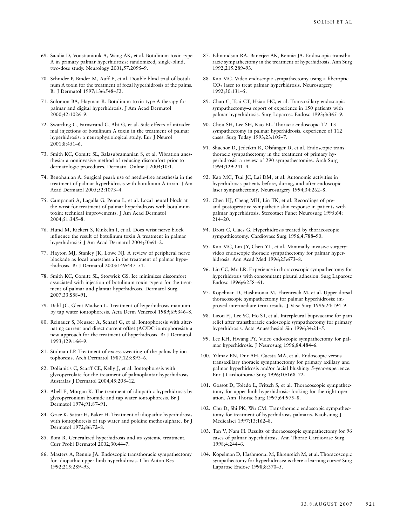- 69. Saadia D, Voustianiouk A, Wang AK, et al. Botulinum toxin type A in primary palmar hyperhidrosis: randomized, single-blind, two-dose study. Neurology 2001;57:2095–9.
- 70. Schnider P, Binder M, Auff E, et al. Double-blind trial of botulinum A toxin for the treatment of focal hyperhidrosis of the palms. Br J Dermatol 1997;136:548–52.
- 71. Solomon BA, Hayman R. Botulinum toxin type A therapy for palmar and digital hyperhidrosis. J Am Acad Dermatol 2000;42:1026–9.
- 72. Swartling C, Farnstrand C, Abt G, et al. Side-effects of intradermal injections of botulinum A toxin in the treatment of palmar hyperhidrosis: a neurophysiological study. Eur J Neurol 2001;8:451–6.
- 73. Smith KC, Comite SL, Balasubramanian S, et al. Vibration anesthesia: a noninvasive method of reducing discomfort prior to dermatologic procedures. Dermatol Online J 2004;10:1.
- 74. Benohanian A. Surgical pearl: use of needle-free anesthesia in the treatment of palmar hyperhidrosis with botulinum A toxin. J Am Acad Dermatol 2005;52:1073–4.
- 75. Campanati A, Lagalla G, Penna L, et al. Local neural block at the wrist for treatment of palmar hyperhidrosis with botulinum toxin: technical improvements. J Am Acad Dermatol 2004;51:345–8.
- 76. Hund M, Rickert S, Kinkelin I, et al. Does wrist nerve block influence the result of botulinum toxin A treatment in palmar hyperhidrosis? J Am Acad Dermatol 2004;50:61–2.
- 77. Hayton MJ, Stanley JK, Lowe NJ. A review of peripheral nerve blockade as local anaesthesia in the treatment of palmar hyperhidrosis. Br J Dermatol 2003;149:447–51.
- 78. Smith KC, Comite SL, Storwick GS. Ice minimizes discomfort associated with injection of botulinum toxin type a for the treatment of palmar and plantar hyperhidrosis. Dermatol Surg 2007;33:S88–91.
- 79. Dahl JC, Glent-Madsen L. Treatment of hyperhidrosis manuum by tap water iontophoresis. Acta Derm Venereol 1989;69:346–8.
- 80. Reinauer S, Neusser A, Schauf G, et al. Iontophoresis with alternating current and direct current offset (AC/DC iontophoresis): a new approach for the treatment of hyperhidrosis. Br J Dermatol 1993;129:166–9.
- 81. Stolman LP. Treatment of excess sweating of the palms by iontophoresis. Arch Dermatol 1987;123:893–6.
- 82. Dolianitis C, Scarff CE, Kelly J, et al. Iontophoresis with glycopyrrolate for the treatment of palmoplantar hyperhidrosis. Australas J Dermatol 2004;45:208–12.
- 83. Abell E, Morgan K. The treatment of idiopathic hyperhidrosis by glycopyrronium bromide and tap water iontophoresis. Br J Dermatol 1974;91:87–91.
- 84. Grice K, Sattar H, Baker H. Treatment of idiopathic hyperhidrosis with iontophoresis of tap water and poldine methosulphate. Br J Dermatol 1972;86:72–8.
- 85. Boni R. Generalized hyperhidrosis and its systemic treatment. Curr Probl Dermatol 2002;30:44–7.
- 86. Masters A, Rennie JA. Endoscopic transthoracic sympathectomy for idiopathic upper limb hyperhidrosis. Clin Auton Res 1992;215:289–93.
- 87. Edmondson RA, Banerjee AK, Rennie JA. Endoscopic transthoracic sympathectomy in the treatment of hyperhidrosis. Ann Surg 1992;215:289–93.
- 88. Kao MC. Video endoscopic sympathectomy using a fiberoptic CO2 laser to treat palmar hyperhidrosis. Neurosurgery 1992;30:131–5.
- 89. Chao C, Tsai CT, Hsiao HC, et al. Transaxillary endoscopic sympathectomy–a report of experience in 150 patients with palmar hyperhidrosis. Surg Laparosc Endosc 1993;3:365–9.
- 90. Chou SH, Lee SH, Kao EL. Thoracic endoscopic T2–T3 sympathectomy in palmar hyperhidrosis. experience of 112 cases. Surg Today 1993;23:105–7.
- 91. Shachor D, Jedeikin R, Olsfanger D, et al. Endoscopic transthoracic sympathectomy in the treatment of primary hyperhidrosis: a review of 290 sympathectomies. Arch Surg 1994;129:241–4.
- 92. Kao MC, Tsai JC, Lai DM, et al. Autonomic activities in hyperhidrosis patients before, during, and after endoscopic laser sympathectomy. Neurosurgery 1994;34:262–8.
- 93. Chen HJ, Cheng MH, Lin TK, et al. Recordings of preand postoperative sympathetic skin response in patients with palmar hyperhidrosis. Stereotact Funct Neurosurg 1995;64: 214–20.
- 94. Drott C, Claes G. Hyperhidrosis treated by thoracoscopic sympathicotomy. Cardiovasc Surg 1996;4:788–90.
- 95. Kao MC, Lin JY, Chen YL, et al. Minimally invasive surgery: video endoscopic thoracic sympathectomy for palmar hyperhidrosis. Ann Acad Med 1996;25:673–8.
- 96. Lin CC, Mo LR. Experience in thoracoscopic sympathectomy for hyperhidrosis with concomitant pleural adhesion. Surg Laparosc Endosc 1996;6:258–61.
- 97. Kopelman D, Hashmonai M, Ehrenreich M, et al. Upper dorsal thoracoscopic sympathectomy for palmar hyperhidrosis: improved intermediate-term results. J Vasc Surg 1996;24:194–9.
- 98. Lieou FJ, Lee SC, Ho ST, et al. Interpleural bupivacaine for pain relief after transthoracic endoscopic sympathectomy for primary hyperhidrosis. Acta Anaesthesiol Sin 1996;34:21–5.
- 99. Lee KH, Hwang PY. Video endoscopic sympathectomy for palmar hyperhidrosis. J Neurosurg 1996;84:484–6.
- 100. Yilmaz EN, Dur AH, Cuesta MA, et al. Endoscopic versus transaxillary thoracic sympathectomy for primary axillary and palmar hyperhidrosis and/or facial blushing: 5-year-experience. Eur J Cardiothorac Surg 1996;10:168–72.
- 101. Gossot D, Toledo L, Fritsch S, et al. Thoracoscopic sympathectomy for upper limb hyperhidrosis: looking for the right operation. Ann Thorac Surg 1997;64:975–8.
- 102. Chu D, Shi PK, Wu CM. Transthoracic endoscopic sympathectomy for treatment of hyperhidrosis palmaris. Kaohsiung J Medicalsci 1997;13:162–8.
- 103. Tan V, Nam H. Results of thoracoscopic sympathectomy for 96 cases of palmar hyperhidrosis. Ann Thorac Cardiovasc Surg 1998;4:244–6.
- 104. Kopelman D, Hashmonai M, Ehrenreich M, et al. Thoracoscopic sympathectomy for hyperhidrosis: is there a learning curve? Surg Laparosc Endosc 1998;8:370–5.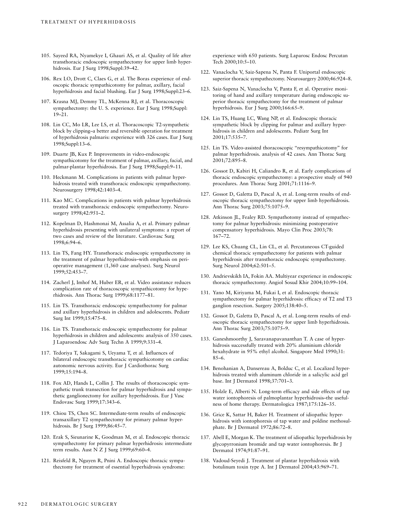- 105. Sayeed RA, Nyamekye I, Ghauri AS, et al. Quality of life after transthoracic endoscopic sympathectomy for upper limb hyperhidrosis. Eur J Surg 1998;Suppl:39–42.
- 106. Rex LO, Drott C, Claes G, et al. The Boras experience of endoscopic thoracic sympathicotomy for palmar, axillary, facial hyperhidrosis and facial blushing. Eur J Surg 1998;Suppl:23–6.
- 107. Krasna MJ, Demmy TL, McKenna RJ, et al. Thoracoscopic sympathectomy: the U. S. experience. Eur J Surg 1998;Suppl: 19–21.
- 108. Lin CC, Mo LR, Lee LS, et al. Thoracoscopic T2-sympathetic block by clipping–a better and reversible operation for treatment of hyperhidrosis palmaris: experience with 326 cases. Eur J Surg 1998;Suppl:13–6.
- 109. Duarte JB, Kux P. Improvements in video-endoscopic sympathicotomy for the treatment of palmar, axillary, facial, and palmar-plantar hyperhidrosis. Eur J Surg 1998;Suppl:9–11.
- 110. Heckmann M. Complications in patients with palmar hyperhidrosis treated with transthoracic endoscopic sympathectomy. Neurosurgery 1998;42:1403–4.
- 111. Kao MC. Complications in patients with palmar hyperhidrosis treated with transthoracic endoscopic sympathectomy. Neurosurgery 1998;42:951–2.
- 112. Kopelman D, Hashmonai M, Assalia A, et al. Primary palmar hyperhidrosis presenting with unilateral symptoms: a report of two cases and review of the literature. Cardiovasc Surg 1998;6:94–6.
- 113. Lin TS, Fang HY. Transthoracic endoscopic sympathectomy in the treatment of palmar hyperhidrosis–with emphasis on perioperative management (1,360 case analyses). Surg Neurol 1999;52:453–7.
- 114. Zacherl J, Imhof M, Huber ER, et al. Video assistance reduces complication rate of thoracoscopic sympathicotomy for hyperhidrosis. Ann Thorac Surg 1999;68:1177–81.
- 115. Lin TS. Transthoracic endoscopic sympathectomy for palmar and axillary hyperhidrosis in children and adolescents. Pediatr Surg Int 1999;15:475–8.
- 116. Lin TS. Transthoracic endoscopic sympathectomy for palmar hyperhidrosis in children and adolescents: analysis of 350 cases. J Laparoendosc Adv Surg Techn A 1999;9:331–4.
- 117. Tedoriya T, Sakagami S, Ueyama T, et al. Influences of bilateral endoscopic transthoracic sympathicotomy on cardiac autonomic nervous activity. Eur J Cardiothorac Surg 1999;15:194–8.
- 118. Fox AD, Hands L, Collin J. The results of thoracoscopic sympathetic trunk transection for palmar hyperhidrosis and sympathetic ganglionectomy for axillary hyperhidrosis. Eur J Vasc Endovasc Surg 1999;17:343–6.
- 119. Chiou TS, Chen SC. Intermediate-term results of endoscopic transaxillary T2 sympathectomy for primary palmar hyperhidrosis. Br J Surg 1999;86:45–7.
- 120. Erak S, Sieunarine K, Goodman M, et al. Endoscopic thoracic sympathectomy for primary palmar hyperhidrosis: intermediate term results. Aust N Z J Surg 1999;69:60–4.
- 121. Reisfeld R, Nguyen R, Pnini A. Endoscopic thoracic sympathectomy for treatment of essential hyperhidrosis syndrome:

experience with 650 patients. Surg Laparosc Endosc Percutan Tech 2000;10:5–10.

- 122. Vanaclocha V, Saiz-Sapena N, Panta F. Uniportal endoscopic superior thoracic sympathectomy. Neurosurgery 2000;46:924–8.
- 123. Saiz-Sapena N, Vanaclocha V, Panta F, et al. Operative monitoring of hand and axillary temperature during endoscopic superior thoracic sympathectomy for the treatment of palmar hyperhidrosis. Eur J Surg 2000;166:65–9.
- 124. Lin TS, Huang LC, Wang NP, et al. Endoscopic thoracic sympathetic block by clipping for palmar and axillary hyperhidrosis in children and adolescents. Pediatr Surg Int 2001;17:535–7.
- 125. Lin TS. Video-assisted thoracoscopic ''resympathicotomy'' for palmar hyperhidrosis. analysis of 42 cases. Ann Thorac Surg 2001;72:895–8.
- 126. Gossot D, Kabiri H, Caliandro R, et al. Early complications of thoracic endoscopic sympathectomy: a prospective study of 940 procedures. Ann Thorac Surg 2001;71:1116–9.
- 127. Gossot D, Galetta D, Pascal A, et al. Long-term results of endoscopic thoracic sympathectomy for upper limb hyperhidrosis. Ann Thorac Surg 2003;75:1075–9.
- 128. Atkinson JL, Fealey RD. Sympathotomy instead of sympathectomy for palmar hyperhidrosis: minimizing postoperative compensatory hyperhidrosis. Mayo Clin Proc 2003;78: 167–72.
- 129. Lee KS, Chuang CL, Lin CL, et al. Percutaneous CT-guided chemical thoracic sympathectomy for patients with palmar hyperhidrosis after transthoracic endoscopic sympathectomy. Surg Neurol 2004;62:501–5.
- 130. Andrievskikh IA, Fokin AA. Multiyear experience in endoscopic thoracic sympathectomy. Angiol Sosud Khir 2004;10:99–104.
- 131. Yano M, Kiriyama M, Fukai I, et al. Endoscopic thoracic sympathectomy for palmar hyperhidrosis: efficacy of T2 and T3 ganglion resection. Surgery 2005;138:40–5.
- 132. Gossot D, Galetta D, Pascal A, et al. Long-term results of endoscopic thoracic sympathectomy for upper limb hyperhidrosis. Ann Thorac Surg 2003;75:1075–9.
- 133. Ganeshmoorthy J, Saravanapavananthan T. A case of hyperhidrosis successfully treated with 20% aluminium chloride hexahydrate in 95% ethyl alcohol. Singapore Med 1990;31: 85–6.
- 134. Benohanian A, Dansereau A, Bolduc C, et al. Localized hyperhidrosis treated with aluminum chloride in a salicylic acid gel base. Int J Dermatol 1998;37:701–3.
- 135. Holzle E, Alberti N. Long-term efficacy and side effects of tap water iontophoresis of palmoplantar hyperhidrosis–the usefulness of home therapy. Dermatologica 1987;175:126–35.
- 136. Grice K, Sattar H, Baker H. Treatment of idiopathic hyperhidrosis with iontophoresis of tap water and poldine methosulphate. Br J Dermatol 1972;86:72–8.
- 137. Abell E, Morgan K. The treatment of idiopathic hyperhidrosis by glycopyrronium bromide and tap water iontophoresis. Br J Dermatol 1974;91:87–91.
- 138. Vadoud-Seyedi J. Treatment of plantar hyperhidrosis with botulinum toxin type A. Int J Dermatol 2004;43:969–71.